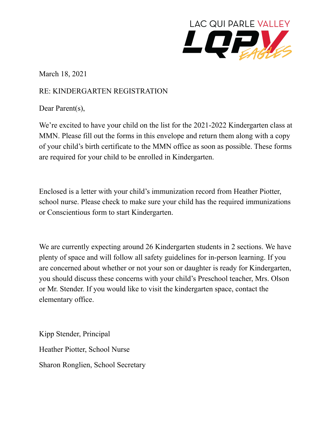

March 18, 2021

## RE: KINDERGARTEN REGISTRATION

Dear Parent(s),

We're excited to have your child on the list for the 2021-2022 Kindergarten class at MMN. Please fill out the forms in this envelope and return them along with a copy of your child's birth certificate to the MMN office as soon as possible. These forms are required for your child to be enrolled in Kindergarten.

Enclosed is a letter with your child's immunization record from Heather Piotter, school nurse. Please check to make sure your child has the required immunizations or Conscientious form to start Kindergarten.

We are currently expecting around 26 Kindergarten students in 2 sections. We have plenty of space and will follow all safety guidelines for in-person learning. If you are concerned about whether or not your son or daughter is ready for Kindergarten, you should discuss these concerns with your child's Preschool teacher, Mrs. Olson or Mr. Stender. If you would like to visit the kindergarten space, contact the elementary office.

Kipp Stender, Principal Heather Piotter, School Nurse Sharon Ronglien, School Secretary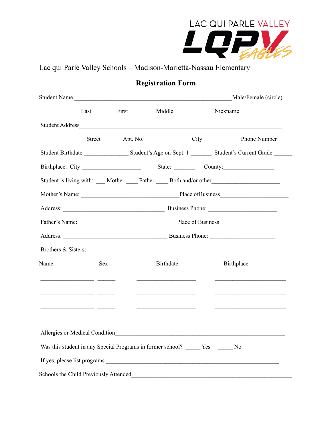

Lac qui Parle Valley Schools – Madison-Marietta-Nassau Elementary

## **Registration Form**

|                                                                                                                       |               |          | Student Name                                                                                                                                                                                                                         |      | Male/Female (circle)                                                                                                  |  |
|-----------------------------------------------------------------------------------------------------------------------|---------------|----------|--------------------------------------------------------------------------------------------------------------------------------------------------------------------------------------------------------------------------------------|------|-----------------------------------------------------------------------------------------------------------------------|--|
|                                                                                                                       | Last          | First    | Middle                                                                                                                                                                                                                               |      | Nickname                                                                                                              |  |
|                                                                                                                       |               |          |                                                                                                                                                                                                                                      |      |                                                                                                                       |  |
|                                                                                                                       | <b>Street</b> | Apt. No. |                                                                                                                                                                                                                                      | City | Phone Number                                                                                                          |  |
|                                                                                                                       |               |          |                                                                                                                                                                                                                                      |      |                                                                                                                       |  |
|                                                                                                                       |               |          |                                                                                                                                                                                                                                      |      |                                                                                                                       |  |
|                                                                                                                       |               |          |                                                                                                                                                                                                                                      |      | Student is living with: ____ Mother _____ Father _____ Both and/or other __________________________                   |  |
|                                                                                                                       |               |          |                                                                                                                                                                                                                                      |      |                                                                                                                       |  |
|                                                                                                                       |               |          |                                                                                                                                                                                                                                      |      |                                                                                                                       |  |
|                                                                                                                       |               |          |                                                                                                                                                                                                                                      |      |                                                                                                                       |  |
|                                                                                                                       |               |          |                                                                                                                                                                                                                                      |      |                                                                                                                       |  |
| Brothers & Sisters:                                                                                                   |               |          |                                                                                                                                                                                                                                      |      |                                                                                                                       |  |
| Name                                                                                                                  | <b>Sex</b>    |          | <b>Birthdate</b>                                                                                                                                                                                                                     |      | Birthplace                                                                                                            |  |
|                                                                                                                       |               |          | <u>experience</u> and the contract of the contract of the contract of the contract of the contract of the contract of                                                                                                                |      | <u>experience</u> and the control of the control of the control of the control of the control of                      |  |
| <u> 2000 - Jan James James James James James James James James James James James James James James James James Ja</u> |               |          | <u>and the company of the company of the company of the company of the company of the company of the company of the company of the company of the company of the company of the company of the company of the company of the com</u> |      | <u> 1999 - Johann Harry Harry Harry Harry Harry Harry Harry Harry Harry Harry Harry Harry Harry Harry Harry Harry</u> |  |
| <u> 2000 - Jan James James Barnett, mars and de la partie de la partie de la partie de la partie de la partie de</u>  |               |          |                                                                                                                                                                                                                                      |      |                                                                                                                       |  |
| Allergies or Medical Condition                                                                                        |               |          |                                                                                                                                                                                                                                      |      |                                                                                                                       |  |
|                                                                                                                       |               |          | Was this student in any Special Programs in former school? ______ Yes ______ No                                                                                                                                                      |      |                                                                                                                       |  |
|                                                                                                                       |               |          |                                                                                                                                                                                                                                      |      |                                                                                                                       |  |
|                                                                                                                       |               |          |                                                                                                                                                                                                                                      |      | Schools the Child Previously Attended Manuel And The Child Previously Attended                                        |  |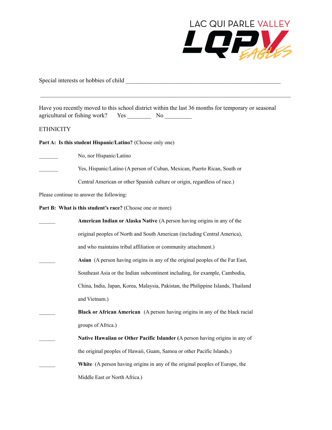

Special interests or hobbies of child \_\_\_\_\_\_\_\_\_\_\_\_\_\_\_\_\_\_\_\_\_\_\_\_\_\_\_\_\_\_\_\_\_\_\_\_\_\_\_\_\_\_\_\_\_\_\_\_\_\_\_\_

Have you recently moved to this school district within the last 36 months for temporary or seasonal agricultural or fishing work? Yes \_\_\_\_\_\_\_\_\_ No \_\_\_\_\_\_\_\_\_\_

 $\mathcal{L}_\mathcal{L} = \{ \mathcal{L}_\mathcal{L} = \{ \mathcal{L}_\mathcal{L} = \{ \mathcal{L}_\mathcal{L} = \{ \mathcal{L}_\mathcal{L} = \{ \mathcal{L}_\mathcal{L} = \{ \mathcal{L}_\mathcal{L} = \{ \mathcal{L}_\mathcal{L} = \{ \mathcal{L}_\mathcal{L} = \{ \mathcal{L}_\mathcal{L} = \{ \mathcal{L}_\mathcal{L} = \{ \mathcal{L}_\mathcal{L} = \{ \mathcal{L}_\mathcal{L} = \{ \mathcal{L}_\mathcal{L} = \{ \mathcal{L}_\mathcal{$ 

**ETHNICITY** 

**Part A: Is this student Hispanic/Latino?** (Choose only one)

No, nor Hispanic/Latino Yes, Hispanic/Latino (A person of Cuban, Mexican, Puerto Rican, South or Central American or other Spanish culture or origin, regardless of race.)

Please continue to answer the following:

**Part B: What is this student's race?** (Choose one or more)

| American Indian or Alaska Native (A person having origins in any of the              |
|--------------------------------------------------------------------------------------|
| original peoples of North and South American (including Central America),            |
| and who maintains tribal affiliation or community attachment.)                       |
| Asian (A person having origins in any of the original peoples of the Far East,       |
| Southeast Asia or the Indian subcontinent including, for example, Cambodia,          |
| China, India, Japan, Korea, Malaysia, Pakistan, the Philippine Islands, Thailand     |
| and Vietnam.)                                                                        |
| <b>Black or African American</b> (A person having origins in any of the black racial |
| groups of Africa.)                                                                   |
| Native Hawaiian or Other Pacific Islander (A person having origins in any of         |
| the original peoples of Hawaii, Guam, Samoa or other Pacific Islands.)               |
| White (A person having origins in any of the original peoples of Europe, the         |
| Middle East or North Africa.)                                                        |